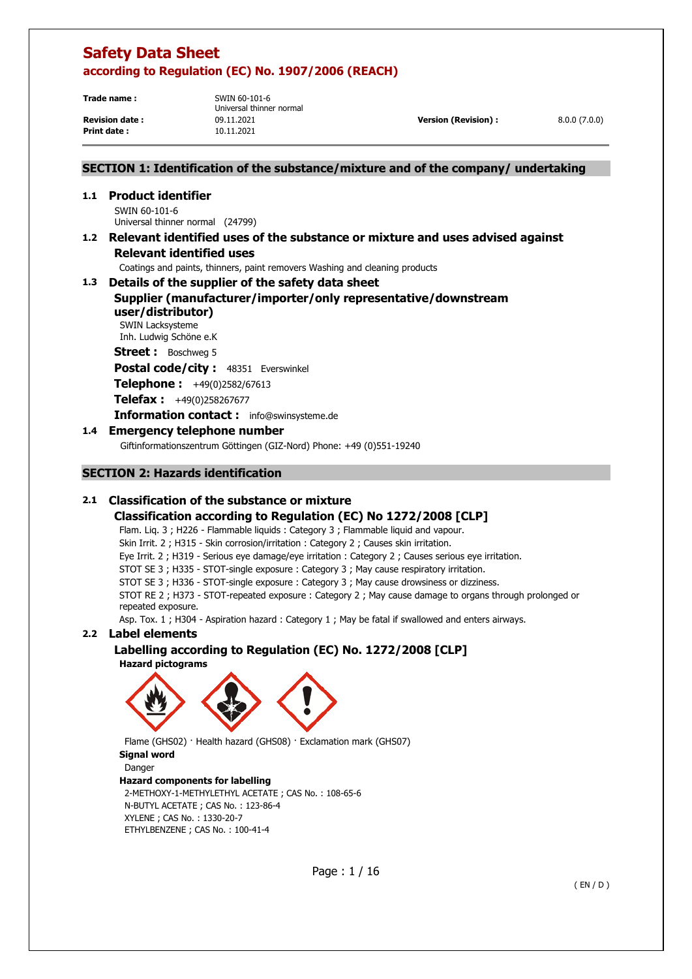**Print date :** 10.11.2021

**Trade name :** SWIN 60-101-6 Universal thinner normal **Revision date :** 09.11.2021 **Version (Revision) :** 8.0.0 (7.0.0)

### **SECTION 1: Identification of the substance/mixture and of the company/ undertaking**

**1.1 Product identifier**  SWIN 60-101-6 Universal thinner normal (24799)

### **1.2 Relevant identified uses of the substance or mixture and uses advised against Relevant identified uses**

Coatings and paints, thinners, paint removers Washing and cleaning products

### **1.3 Details of the supplier of the safety data sheet Supplier (manufacturer/importer/only representative/downstream user/distributor)**

SWIN Lacksysteme Inh. Ludwig Schöne e.K

**Street :** Boschweg 5

Postal code/city : 48351 Everswinkel

**Telephone :** +49(0)2582/67613

**Telefax :** +49(0)258267677

**Information contact :** info@swinsysteme.de

### **1.4 Emergency telephone number**

Giftinformationszentrum Göttingen (GIZ-Nord) Phone: +49 (0)551-19240

### **SECTION 2: Hazards identification**

### **2.1 Classification of the substance or mixture**

### **Classification according to Regulation (EC) No 1272/2008 [CLP]**

Flam. Liq. 3 ; H226 - Flammable liquids : Category 3 ; Flammable liquid and vapour.

Skin Irrit. 2 ; H315 - Skin corrosion/irritation : Category 2 ; Causes skin irritation.

Eye Irrit. 2 ; H319 - Serious eye damage/eye irritation : Category 2 ; Causes serious eye irritation.

STOT SE 3 ; H335 - STOT-single exposure : Category 3 ; May cause respiratory irritation.

STOT SE 3 ; H336 - STOT-single exposure : Category 3 ; May cause drowsiness or dizziness.

STOT RE 2 ; H373 - STOT-repeated exposure : Category 2 ; May cause damage to organs through prolonged or repeated exposure.

Asp. Tox. 1 ; H304 - Aspiration hazard : Category 1 ; May be fatal if swallowed and enters airways.

### **2.2 Label elements**

### **Labelling according to Regulation (EC) No. 1272/2008 [CLP]**

**Hazard pictograms** 



Flame (GHS02) · Health hazard (GHS08) · Exclamation mark (GHS07) **Signal word**  Danger **Hazard components for labelling**  2-METHOXY-1-METHYLETHYL ACETATE ; CAS No. : 108-65-6 N-BUTYL ACETATE ; CAS No. : 123-86-4 XYLENE ; CAS No. : 1330-20-7 ETHYLBENZENE ; CAS No. : 100-41-4

Page : 1 / 16

( EN / D )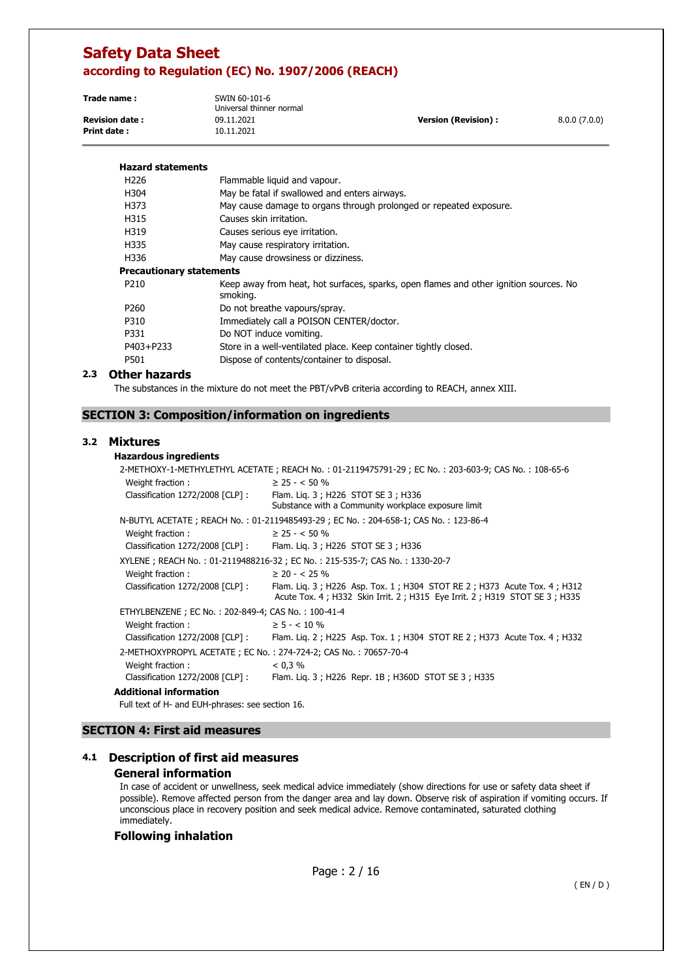| Trade name:           | SWIN 60-101-6<br>Universal thinner normal |                      |              |
|-----------------------|-------------------------------------------|----------------------|--------------|
| <b>Revision date:</b> | 09.11.2021                                | Version (Revision) : | 8.0.0(7.0.0) |
| Print date :          | 10.11.2021                                |                      |              |

| <b>Hazard statements</b>        |                                                                                                   |
|---------------------------------|---------------------------------------------------------------------------------------------------|
| H <sub>226</sub>                | Flammable liquid and vapour.                                                                      |
| H304                            | May be fatal if swallowed and enters airways.                                                     |
| H373                            | May cause damage to organs through prolonged or repeated exposure.                                |
| H315                            | Causes skin irritation.                                                                           |
| H319                            | Causes serious eye irritation.                                                                    |
| H335                            | May cause respiratory irritation.                                                                 |
| H336                            | May cause drowsiness or dizziness.                                                                |
| <b>Precautionary statements</b> |                                                                                                   |
| P210                            | Keep away from heat, hot surfaces, sparks, open flames and other ignition sources. No<br>smoking. |
| P <sub>260</sub>                | Do not breathe vapours/spray.                                                                     |
| P310                            | Immediately call a POISON CENTER/doctor.                                                          |
| P331                            | Do NOT induce vomiting.                                                                           |
| P403+P233                       | Store in a well-ventilated place. Keep container tightly closed.                                  |
| P501                            | Dispose of contents/container to disposal.                                                        |

### **2.3 Other hazards**

The substances in the mixture do not meet the PBT/vPvB criteria according to REACH, annex XIII.

### **SECTION 3: Composition/information on ingredients**

### **3.2 Mixtures**

#### **Hazardous ingredients**

|                                                                 | 2-METHOXY-1-METHYLETHYL ACETATE; REACH No.: 01-2119475791-29; EC No.: 203-603-9; CAS No.: 108-65-6                                                   |
|-----------------------------------------------------------------|------------------------------------------------------------------------------------------------------------------------------------------------------|
| Weight fraction:                                                | $\geq$ 25 - < 50 %                                                                                                                                   |
| Classification 1272/2008 [CLP] :                                | Flam. Lig. 3 ; H226 STOT SE 3 ; H336                                                                                                                 |
|                                                                 | Substance with a Community workplace exposure limit                                                                                                  |
|                                                                 | N-BUTYL ACETATE; REACH No.: 01-2119485493-29; EC No.: 204-658-1; CAS No.: 123-86-4                                                                   |
| Weight fraction:                                                | $\geq$ 25 - < 50 %                                                                                                                                   |
|                                                                 | Classification 1272/2008 [CLP] : Flam. Lig. 3 ; H226 STOT SE 3 ; H336                                                                                |
|                                                                 | XYLENE; REACH No.: 01-2119488216-32; EC No.: 215-535-7; CAS No.: 1330-20-7                                                                           |
| Weight fraction:                                                | $\geq$ 20 - < 25 %                                                                                                                                   |
| Classification 1272/2008 [CLP] :                                | Flam. Lig. 3; H226 Asp. Tox. 1; H304 STOT RE 2; H373 Acute Tox. 4; H312<br>Acute Tox. 4; H332 Skin Irrit. 2; H315 Eye Irrit. 2; H319 STOT SE 3; H335 |
| ETHYLBENZENE; EC No.: 202-849-4; CAS No.: 100-41-4              |                                                                                                                                                      |
| Weight fraction:                                                | $\geq$ 5 - < 10 %                                                                                                                                    |
| Classification 1272/2008 [CLP]:                                 | Flam. Lig. 2; H225 Asp. Tox. 1; H304 STOT RE 2; H373 Acute Tox. 4; H332                                                                              |
| 2-METHOXYPROPYL ACETATE; EC No.: 274-724-2; CAS No.: 70657-70-4 |                                                                                                                                                      |
| Weight fraction:                                                | $< 0.3\%$                                                                                                                                            |
| Classification 1272/2008 [CLP] :                                | Flam. Lig. 3; H226 Repr. 1B; H360D STOT SE 3; H335                                                                                                   |
| Additional information                                          |                                                                                                                                                      |

Full text of H- and EUH-phrases: see section 16.

### **SECTION 4: First aid measures**

# **4.1 Description of first aid measures**

### **General information**

In case of accident or unwellness, seek medical advice immediately (show directions for use or safety data sheet if possible). Remove affected person from the danger area and lay down. Observe risk of aspiration if vomiting occurs. If unconscious place in recovery position and seek medical advice. Remove contaminated, saturated clothing immediately.

### **Following inhalation**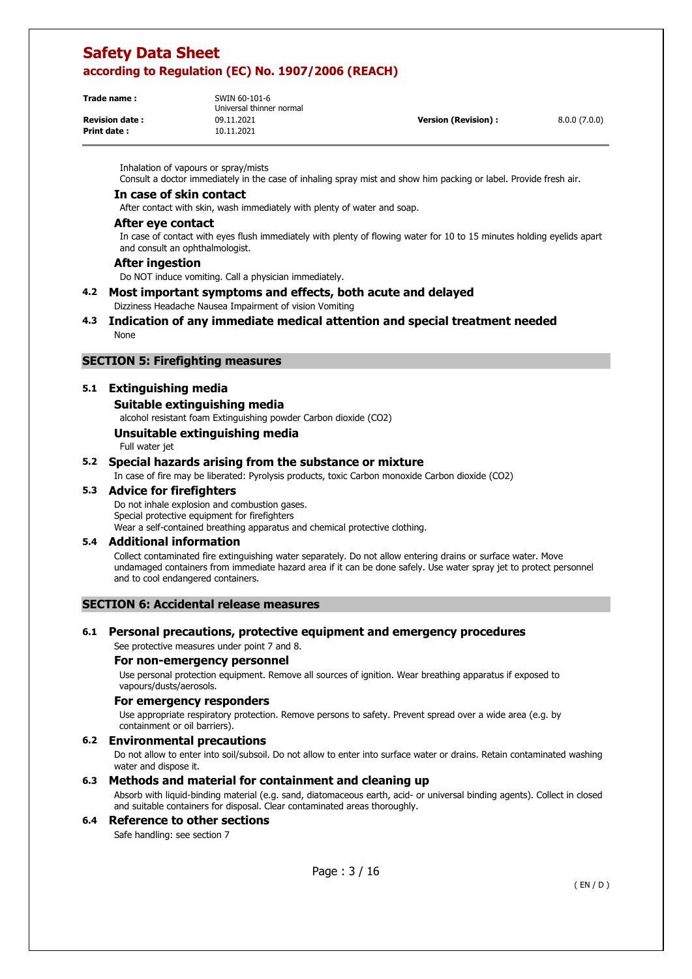| n Julian Julian |  |  |
|-----------------|--|--|
|                 |  |  |
| Devision dota : |  |  |

**Print date :** 10.11.2021

**Trade name :** SWIN 60-101-6 Universal thinner normal **Revision date :** 09.11.2021 **Version (Revision) :** 8.0.0 (7.0.0)

Inhalation of vapours or spray/mists

Consult a doctor immediately in the case of inhaling spray mist and show him packing or label. Provide fresh air.

#### **In case of skin contact**

After contact with skin, wash immediately with plenty of water and soap.

#### **After eye contact**

In case of contact with eyes flush immediately with plenty of flowing water for 10 to 15 minutes holding eyelids apart and consult an ophthalmologist.

#### **After ingestion**

Do NOT induce vomiting. Call a physician immediately.

#### **4.2 Most important symptoms and effects, both acute and delayed**  Dizziness Headache Nausea Impairment of vision Vomiting

**4.3 Indication of any immediate medical attention and special treatment needed**  None

### **SECTION 5: Firefighting measures**

### **5.1 Extinguishing media**

#### **Suitable extinguishing media**

alcohol resistant foam Extinguishing powder Carbon dioxide (CO2)

### **Unsuitable extinguishing media**

Full water jet

#### **5.2 Special hazards arising from the substance or mixture**

In case of fire may be liberated: Pyrolysis products, toxic Carbon monoxide Carbon dioxide (CO2)

### **5.3 Advice for firefighters**

Do not inhale explosion and combustion gases. Special protective equipment for firefighters Wear a self-contained breathing apparatus and chemical protective clothing.

#### **5.4 Additional information**

Collect contaminated fire extinguishing water separately. Do not allow entering drains or surface water. Move undamaged containers from immediate hazard area if it can be done safely. Use water spray jet to protect personnel and to cool endangered containers.

### **SECTION 6: Accidental release measures**

#### **6.1 Personal precautions, protective equipment and emergency procedures**

See protective measures under point 7 and 8.

#### **For non-emergency personnel**

Use personal protection equipment. Remove all sources of ignition. Wear breathing apparatus if exposed to vapours/dusts/aerosols.

#### **For emergency responders**

Use appropriate respiratory protection. Remove persons to safety. Prevent spread over a wide area (e.g. by containment or oil barriers).

#### **6.2 Environmental precautions**

Do not allow to enter into soil/subsoil. Do not allow to enter into surface water or drains. Retain contaminated washing water and dispose it.

### **6.3 Methods and material for containment and cleaning up**

Absorb with liquid-binding material (e.g. sand, diatomaceous earth, acid- or universal binding agents). Collect in closed and suitable containers for disposal. Clear contaminated areas thoroughly.

### **6.4 Reference to other sections**

Safe handling: see section 7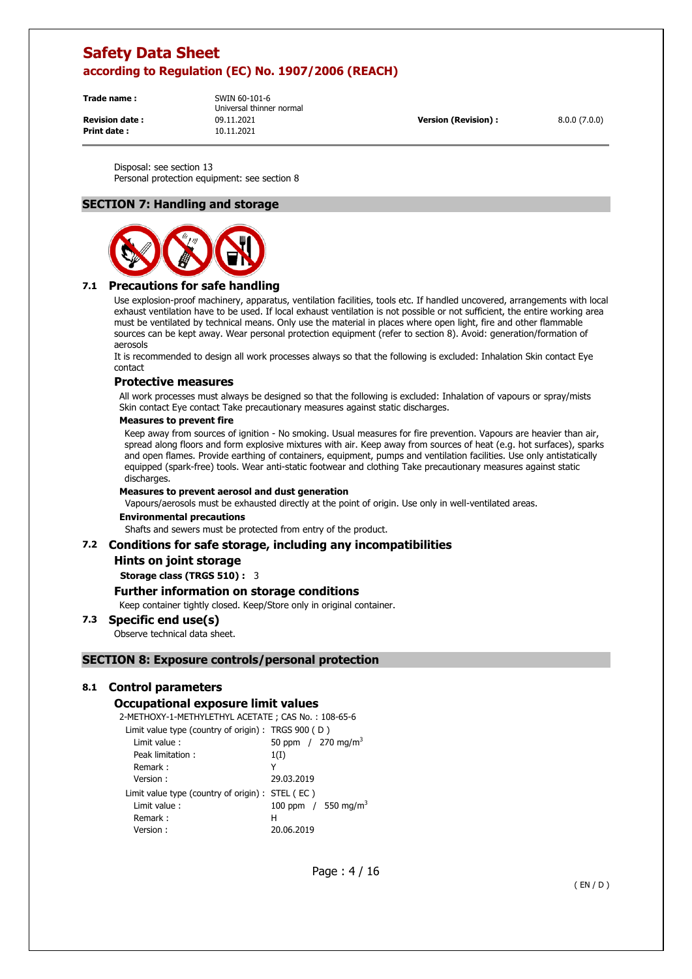**Print date :** 10.11.2021

**Trade name :** SWIN 60-101-6 Universal thinner normal **Revision date :** 09.11.2021 **Version (Revision) :** 8.0.0 (7.0.0)

Disposal: see section 13 Personal protection equipment: see section 8

### **SECTION 7: Handling and storage**



### **7.1 Precautions for safe handling**

Use explosion-proof machinery, apparatus, ventilation facilities, tools etc. If handled uncovered, arrangements with local exhaust ventilation have to be used. If local exhaust ventilation is not possible or not sufficient, the entire working area must be ventilated by technical means. Only use the material in places where open light, fire and other flammable sources can be kept away. Wear personal protection equipment (refer to section 8). Avoid: generation/formation of aerosols

It is recommended to design all work processes always so that the following is excluded: Inhalation Skin contact Eye contact

### **Protective measures**

All work processes must always be designed so that the following is excluded: Inhalation of vapours or spray/mists Skin contact Eye contact Take precautionary measures against static discharges.

#### **Measures to prevent fire**

Keep away from sources of ignition - No smoking. Usual measures for fire prevention. Vapours are heavier than air, spread along floors and form explosive mixtures with air. Keep away from sources of heat (e.g. hot surfaces), sparks and open flames. Provide earthing of containers, equipment, pumps and ventilation facilities. Use only antistatically equipped (spark-free) tools. Wear anti-static footwear and clothing Take precautionary measures against static discharges.

#### **Measures to prevent aerosol and dust generation**

Vapours/aerosols must be exhausted directly at the point of origin. Use only in well-ventilated areas.

#### **Environmental precautions**

Shafts and sewers must be protected from entry of the product.

### **7.2 Conditions for safe storage, including any incompatibilities**

#### **Hints on joint storage**

**Storage class (TRGS 510) :** 3

### **Further information on storage conditions**

Keep container tightly closed. Keep/Store only in original container.

### **7.3 Specific end use(s)**

Observe technical data sheet.

### **SECTION 8: Exposure controls/personal protection**

#### **8.1 Control parameters**

#### **Occupational exposure limit values**

2-METHOXY-1-METHYLETHYL ACETATE ; CAS No. : 108-65-6

| Limit value type (country of origin) : TRGS $900$ (D) |                                 |
|-------------------------------------------------------|---------------------------------|
| Limit value:                                          | 50 ppm $/270$ mg/m <sup>3</sup> |
| Peak limitation:                                      | 1(I)                            |
| Remark:                                               | Y                               |
| Version :                                             | 29.03.2019                      |
| Limit value type (country of origin) : STEL (EC)      |                                 |
| Limit value:                                          | 100 ppm / 550 mg/m <sup>3</sup> |
| Remark:                                               | н                               |
| Version :                                             | 20.06.2019                      |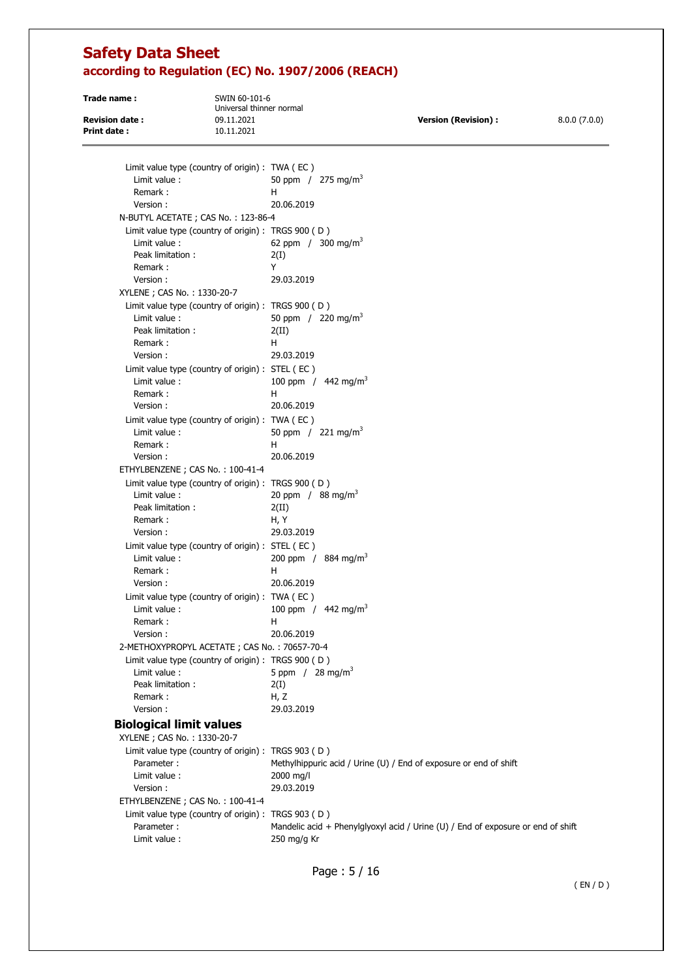| Trade name:           | SWIN 60-101-6<br>Universal thinner normal       |                            |              |
|-----------------------|-------------------------------------------------|----------------------------|--------------|
| <b>Revision date:</b> | 09.11.2021                                      | <b>Version (Revision):</b> | 8.0.0(7.0.0) |
| Print date:           | 10.11.2021                                      |                            |              |
|                       | Limit value type (country of origin) : TWA (EC) |                            |              |

| Limit value:                                          | 50 ppm $/275$ mg/m <sup>3</sup>                                                  |
|-------------------------------------------------------|----------------------------------------------------------------------------------|
| Remark:                                               | н                                                                                |
| Version:                                              | 20.06.2019                                                                       |
| N-BUTYL ACETATE ; CAS No.: 123-86-4                   |                                                                                  |
| Limit value type (country of origin) : TRGS $900$ (D) |                                                                                  |
| Limit value:                                          | 62 ppm / 300 mg/m <sup>3</sup>                                                   |
| Peak limitation:                                      | 2(I)                                                                             |
| Remark:                                               | Y                                                                                |
| Version:                                              | 29.03.2019                                                                       |
| XYLENE; CAS No.: 1330-20-7                            |                                                                                  |
| Limit value type (country of origin) : TRGS 900 (D)   |                                                                                  |
| Limit value:                                          | 50 ppm $/220$ mg/m <sup>3</sup>                                                  |
| Peak limitation:                                      | 2(II)                                                                            |
| Remark:                                               | H                                                                                |
| Version:                                              | 29.03.2019                                                                       |
| Limit value type (country of origin) : STEL (EC)      |                                                                                  |
| Limit value:                                          | 100 ppm / $442$ mg/m <sup>3</sup>                                                |
| Remark:                                               | н                                                                                |
| Version:                                              | 20.06.2019                                                                       |
| Limit value type (country of origin) : TWA (EC)       |                                                                                  |
| Limit value:                                          | 50 ppm / 221 mg/m <sup>3</sup>                                                   |
| Remark:                                               | н                                                                                |
| Version:                                              | 20.06.2019                                                                       |
| ETHYLBENZENE ; CAS No.: 100-41-4                      |                                                                                  |
| Limit value type (country of origin) : TRGS $900$ (D) |                                                                                  |
| Limit value:                                          | 20 ppm / $88 \text{ mg/m}^3$                                                     |
| Peak limitation:                                      | 2(II)                                                                            |
| Remark:                                               | H, Y                                                                             |
| Version:                                              | 29.03.2019                                                                       |
| Limit value type (country of origin) : STEL (EC)      |                                                                                  |
| Limit value:                                          | 200 ppm / $884 \text{ mg/m}^3$                                                   |
| Remark:                                               | H                                                                                |
| Version:                                              | 20.06.2019                                                                       |
| Limit value type (country of origin) : TWA (EC)       |                                                                                  |
| Limit value:                                          | 100 ppm / $442 \text{ mg/m}^3$                                                   |
| Remark:                                               | н                                                                                |
| Version:                                              | 20.06.2019                                                                       |
| 2-METHOXYPROPYL ACETATE; CAS No.: 70657-70-4          |                                                                                  |
| Limit value type (country of origin) : TRGS 900 (D)   |                                                                                  |
| Limit value:                                          | 5 ppm / $28 \text{ mg/m}^3$                                                      |
| Peak limitation:                                      | 2(I)                                                                             |
| Remark:                                               | H, Z                                                                             |
| Version:                                              | 29.03.2019                                                                       |
| <b>Biological limit values</b>                        |                                                                                  |
| XYLENE ; CAS No.: 1330-20-7                           |                                                                                  |
| Limit value type (country of origin) : TRGS 903 (D)   |                                                                                  |
| Parameter:                                            | Methylhippuric acid / Urine (U) / End of exposure or end of shift                |
| Limit value:                                          | 2000 mg/l                                                                        |
| Version:                                              | 29.03.2019                                                                       |
| ETHYLBENZENE ; CAS No.: 100-41-4                      |                                                                                  |
| Limit value type (country of origin) : TRGS 903 (D)   |                                                                                  |
| Parameter:                                            | Mandelic acid + Phenylglyoxyl acid / Urine (U) / End of exposure or end of shift |
| Limit value:                                          | 250 mg/g Kr                                                                      |

Page : 5 / 16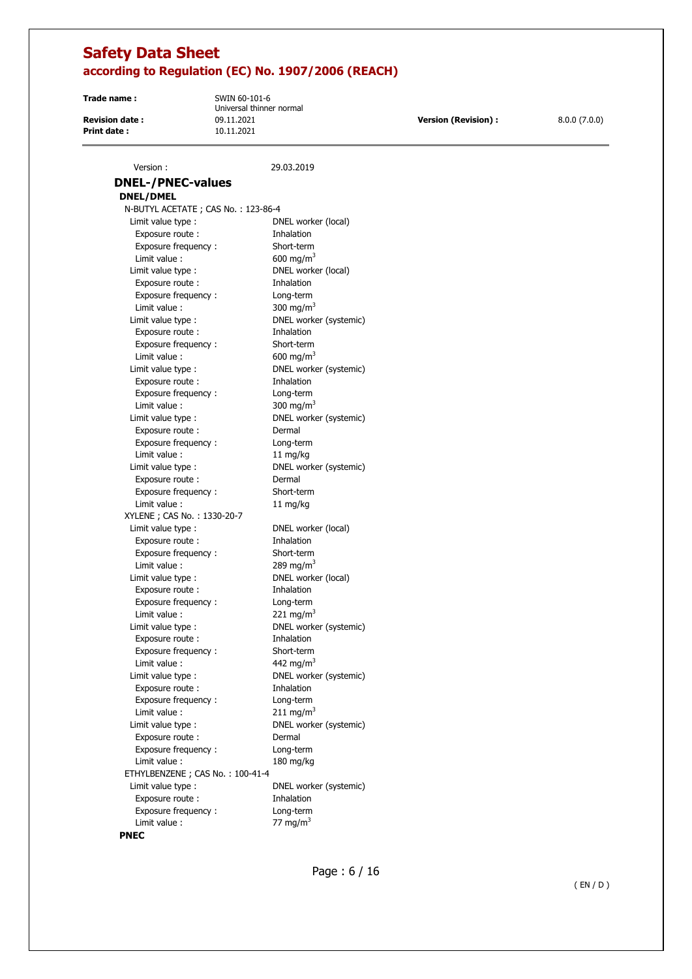**Print date :** 10.11.2021

**Trade name :** SWIN 60-101-6 Universal thinner normal **Revision date :** 09.11.2021 **Version (Revision) :** 8.0.0 (7.0.0)

| Version:                                                | 29.03.2019             |
|---------------------------------------------------------|------------------------|
| <b>DNEL-/PNEC-values</b>                                |                        |
|                                                         |                        |
| <b>DNEL/DMEL</b><br>N-BUTYL ACETATE ; CAS No.: 123-86-4 |                        |
|                                                         | DNEL worker (local)    |
| Limit value type :<br>Exposure route:                   | Inhalation             |
| Exposure frequency :                                    | Short-term             |
| Limit value:                                            | 600 mg/m <sup>3</sup>  |
| Limit value type :                                      | DNEL worker (local)    |
| Exposure route:                                         | Inhalation             |
| Exposure frequency:                                     | Long-term              |
| Limit value:                                            | 300 mg/m <sup>3</sup>  |
| Limit value type :                                      | DNEL worker (systemic) |
| Exposure route :                                        | Inhalation             |
| Exposure frequency :                                    | Short-term             |
| Limit value:                                            | 600 mg/m <sup>3</sup>  |
| Limit value type :                                      | DNEL worker (systemic) |
| Exposure route:                                         | Inhalation             |
| Exposure frequency :                                    | Long-term              |
| Limit value:                                            | 300 mg/m <sup>3</sup>  |
| Limit value type :                                      | DNEL worker (systemic) |
| Exposure route :                                        | Dermal                 |
| Exposure frequency :                                    | Long-term              |
| Limit value :                                           | 11 mg/kg               |
| Limit value type :                                      | DNEL worker (systemic) |
| Exposure route:                                         | Dermal                 |
| Exposure frequency:                                     | Short-term             |
| Limit value:                                            | 11 mg/kg               |
| XYLENE ; CAS No.: 1330-20-7                             |                        |
| Limit value type :                                      | DNEL worker (local)    |
| Exposure route :                                        | Inhalation             |
| Exposure frequency:                                     | Short-term             |
| Limit value:                                            | 289 mg/m <sup>3</sup>  |
| Limit value type :                                      | DNEL worker (local)    |
| Exposure route:                                         | Inhalation             |
| Exposure frequency:                                     | Long-term              |
| Limit value:                                            | 221 mg/m <sup>3</sup>  |
| Limit value type :                                      | DNEL worker (systemic) |
| Exposure route:                                         | Inhalation             |
| Exposure frequency :                                    | Short-term             |
| Limit value :                                           | 442 mg/m <sup>3</sup>  |
| Limit value type :                                      | DNEL worker (systemic) |
| Exposure route :                                        | Inhalation             |
| Exposure frequency:                                     | Long-term              |
| Limit value:                                            | 211 mg/m <sup>3</sup>  |
| Limit value type :                                      | DNEL worker (systemic) |
| Exposure route :                                        | Dermal                 |
| Exposure frequency :                                    | Long-term              |
| Limit value :                                           | 180 mg/kg              |
| ETHYLBENZENE; CAS No.: 100-41-4                         |                        |
| Limit value type :                                      | DNEL worker (systemic) |
| Exposure route :                                        | Inhalation             |
| Exposure frequency :                                    | Long-term              |
| Limit value:<br><b>DNFC</b>                             | 77 mg/m $3$            |
|                                                         |                        |

**PNEC**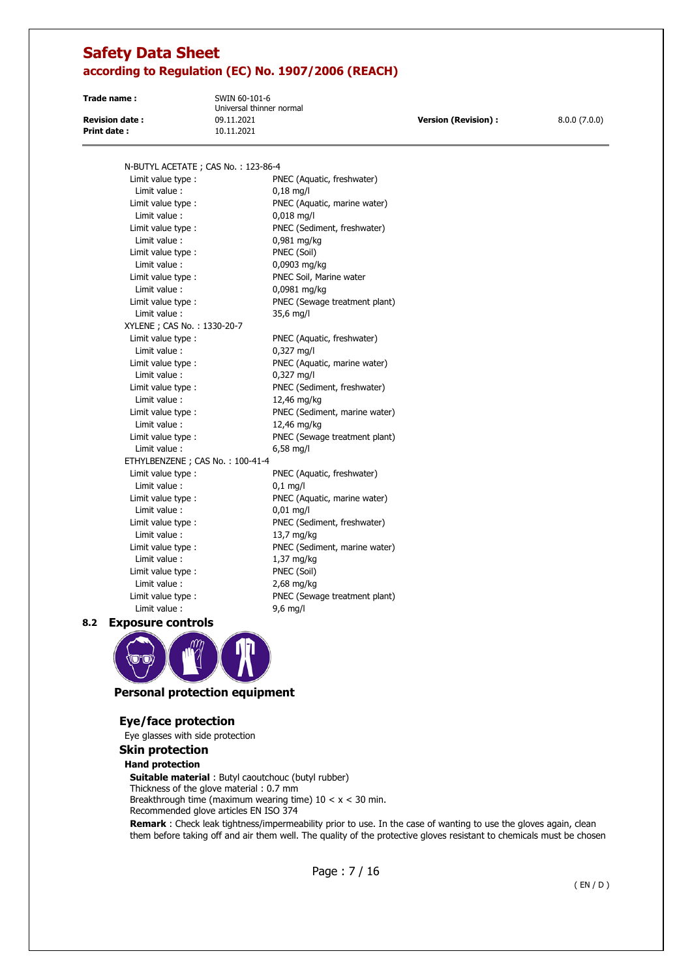**Print date :** 10.11.2021

**Trade name :** SWIN 60-101-6 Universal thinner normal

**Revision date :** 09.11.2021 **Version (Revision) :** 8.0.0 (7.0.0)

N-BUTYL ACETATE ; CAS No. : 123-86-4

Limit value type : PNEC (Aquatic, freshwater) Limit value : 0,18 mg/l Limit value type : PNEC (Aquatic, marine water) Limit value : 0,018 mg/l Limit value type : PNEC (Sediment, freshwater) Limit value : 0,981 mg/kg Limit value type : PNEC (Soil) Limit value : 0,0903 mg/kg Limit value type : PNEC Soil, Marine water Limit value : 0,0981 mg/kg Limit value type : PNEC (Sewage treatment plant) Limit value : 35,6 mg/l XYLENE ; CAS No. : 1330-20-7 Limit value type : PNEC (Aquatic, freshwater) Limit value : 0,327 mg/l Limit value type : PNEC (Aquatic, marine water) Limit value : 0,327 mg/l Limit value type : PNEC (Sediment, freshwater) Limit value : 12,46 mg/kg Limit value type : PNEC (Sediment, marine water) Limit value : 12,46 mg/kg Limit value type : PNEC (Sewage treatment plant) Limit value : 6,58 mg/l ETHYLBENZENE ; CAS No. : 100-41-4 Limit value type : PNEC (Aquatic, freshwater) Limit value : 0,1 mg/l Limit value type : PNEC (Aquatic, marine water) Limit value : 0,01 mg/l Limit value type : PNEC (Sediment, freshwater) Limit value : 13,7 mg/kg Limit value type : PNEC (Sediment, marine water) Limit value : 1.37 mg/kg Limit value type : PNEC (Soil) Limit value : 2,68 mg/kg Limit value type : PNEC (Sewage treatment plant) Limit value : 9,6 mg/l

**8.2 Exposure controls** 



### **Personal protection equipment**

### **Eye/face protection**

Eye glasses with side protection

#### **Skin protection**

### **Hand protection**

**Suitable material** : Butyl caoutchouc (butyl rubber) Thickness of the glove material : 0.7 mm Breakthrough time (maximum wearing time)  $10 < x < 30$  min.

Recommended glove articles EN ISO 374

**Remark** : Check leak tightness/impermeability prior to use. In the case of wanting to use the gloves again, clean them before taking off and air them well. The quality of the protective gloves resistant to chemicals must be chosen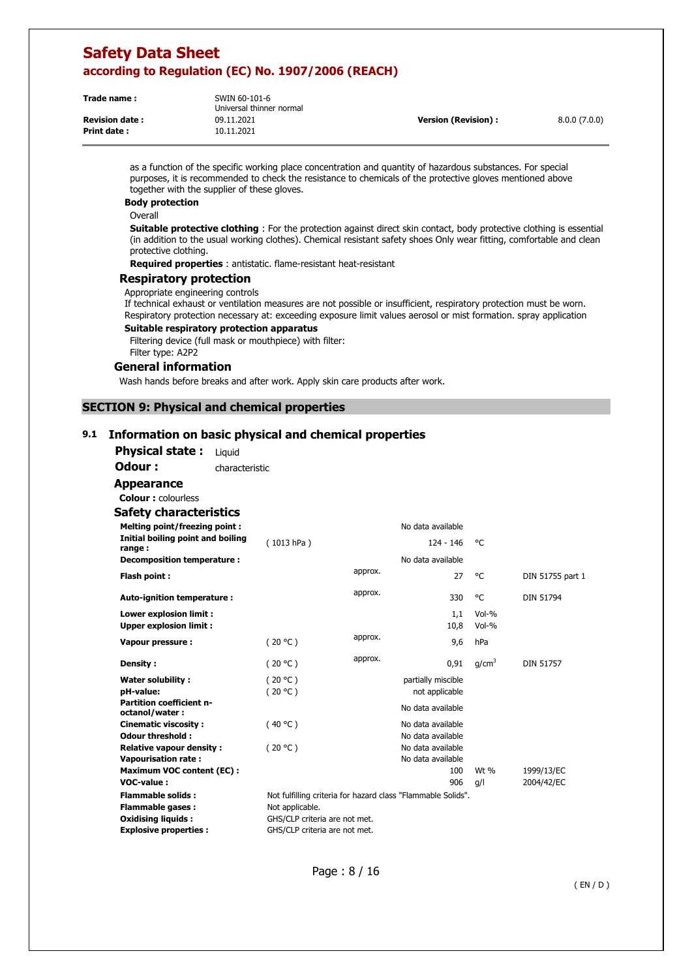**Print date :** 10.11.2021

**Trade name :** SWIN 60-101-6 Universal thinner normal **Revision date :** 09.11.2021 **Version (Revision) :** 8.0.0 (7.0.0)

as a function of the specific working place concentration and quantity of hazardous substances. For special purposes, it is recommended to check the resistance to chemicals of the protective gloves mentioned above together with the supplier of these gloves.

**Body protection** 

Overall

**Suitable protective clothing** : For the protection against direct skin contact, body protective clothing is essential (in addition to the usual working clothes). Chemical resistant safety shoes Only wear fitting, comfortable and clean protective clothing.

**Required properties** : antistatic. flame-resistant heat-resistant

#### **Respiratory protection**

Appropriate engineering controls

If technical exhaust or ventilation measures are not possible or insufficient, respiratory protection must be worn. Respiratory protection necessary at: exceeding exposure limit values aerosol or mist formation. spray application

### **Suitable respiratory protection apparatus**

Filtering device (full mask or mouthpiece) with filter: Filter type: A2P2

#### **General information**

Wash hands before breaks and after work. Apply skin care products after work.

#### **SECTION 9: Physical and chemical properties**

### **9.1 Information on basic physical and chemical properties**

**Physical state :** Liquid

**Odour :** characteristic

**Appearance Colour :** colourless

### **Safety characteristics**

| <b>Melting point/freezing point:</b>                     |                                                              |         | No data available                      |                    |                  |
|----------------------------------------------------------|--------------------------------------------------------------|---------|----------------------------------------|--------------------|------------------|
| Initial boiling point and boiling<br>range:              | (1013 hPa)                                                   |         | 124 - 146                              | °€                 |                  |
| Decomposition temperature :                              |                                                              |         | No data available                      |                    |                  |
| Flash point:                                             |                                                              | approx. | 27                                     | °C                 | DIN 51755 part 1 |
| Auto-ignition temperature:                               |                                                              | approx. | 330                                    | °C                 | <b>DIN 51794</b> |
| Lower explosion limit :<br><b>Upper explosion limit:</b> |                                                              |         | 1,1<br>10,8                            | $Vol-%$<br>$Vol-%$ |                  |
| Vapour pressure:                                         | (20 °C)                                                      | approx. | 9,6                                    | hPa                |                  |
| Density:                                                 | (20 °C)                                                      | approx. | 0,91                                   | g/cm <sup>3</sup>  | <b>DIN 51757</b> |
| Water solubility:<br>pH-value:                           | (20 °C)<br>(20 °C)                                           |         | partially miscible<br>not applicable   |                    |                  |
| <b>Partition coefficient n-</b><br>octanol/water:        |                                                              |         | No data available                      |                    |                  |
| <b>Cinematic viscosity:</b><br>Odour threshold:          | (40 °C)                                                      |         | No data available<br>No data available |                    |                  |
| <b>Relative vapour density:</b>                          | (20 °C)                                                      |         | No data available                      |                    |                  |
| <b>Vapourisation rate:</b>                               |                                                              |         | No data available                      |                    |                  |
| <b>Maximum VOC content (EC):</b>                         |                                                              |         | 100                                    | Wt %               | 1999/13/EC       |
| VOC-value:                                               |                                                              |         | 906                                    | g/l                | 2004/42/EC       |
| <b>Flammable solids:</b>                                 | Not fulfilling criteria for hazard class "Flammable Solids". |         |                                        |                    |                  |
| <b>Flammable gases:</b>                                  | Not applicable.                                              |         |                                        |                    |                  |
| <b>Oxidising liquids:</b>                                | GHS/CLP criteria are not met.                                |         |                                        |                    |                  |
| <b>Explosive properties:</b>                             | GHS/CLP criteria are not met.                                |         |                                        |                    |                  |

Page : 8 / 16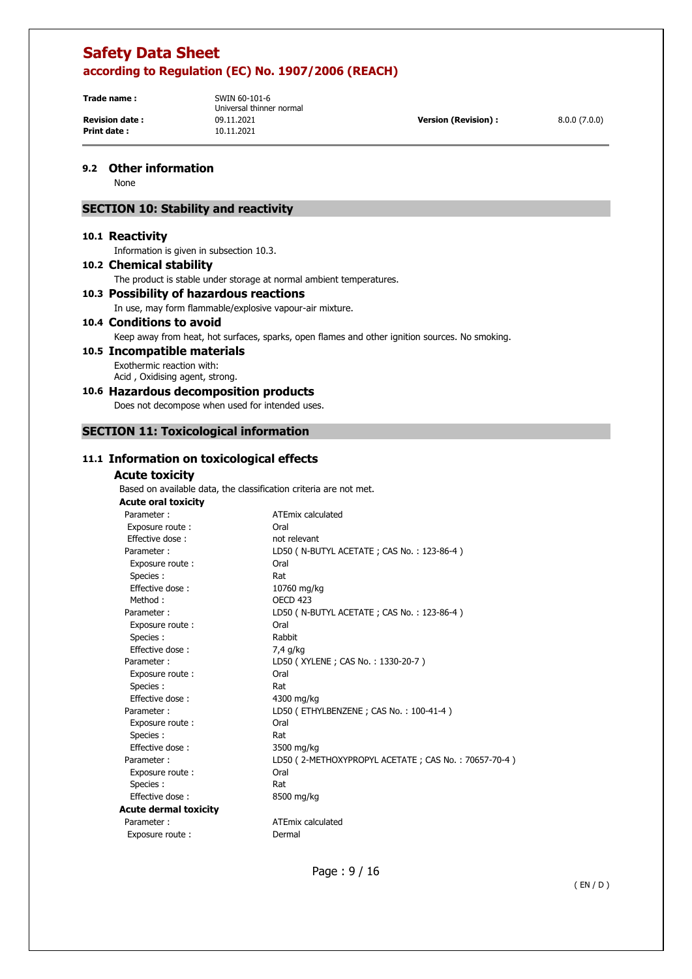**Print date :**  $10.11.2021$ 

**Trade name :** SWIN 60-101-6 Universal thinner normal **Revision date :** 09.11.2021 **Version (Revision) :** 8.0.0 (7.0.0)

### **9.2 Other information**

None

### **SECTION 10: Stability and reactivity**

### **10.1 Reactivity**

Information is given in subsection 10.3.

### **10.2 Chemical stability**

The product is stable under storage at normal ambient temperatures.

### **10.3 Possibility of hazardous reactions**

In use, may form flammable/explosive vapour-air mixture.

### **10.4 Conditions to avoid**

Keep away from heat, hot surfaces, sparks, open flames and other ignition sources. No smoking.

### **10.5 Incompatible materials**

Exothermic reaction with: Acid , Oxidising agent, strong.

### **10.6 Hazardous decomposition products**

Does not decompose when used for intended uses.

### **SECTION 11: Toxicological information**

## $11.1 \text{ I}$

| nformation on toxicological effects |                                                                   |
|-------------------------------------|-------------------------------------------------------------------|
| <b>Acute toxicity</b>               |                                                                   |
|                                     | Based on available data, the classification criteria are not met. |
| <b>Acute oral toxicity</b>          |                                                                   |
| Parameter:                          | ATEmix calculated                                                 |
| Exposure route :                    | Oral                                                              |
| Effective dose:                     | not relevant                                                      |
| Parameter:                          | LD50 (N-BUTYL ACETATE; CAS No.: 123-86-4)                         |
| Exposure route:                     | Oral                                                              |
| Species :                           | Rat                                                               |
| Effective dose:                     |                                                                   |
| Method:                             | 10760 mg/kg<br>OECD <sub>423</sub>                                |
|                                     |                                                                   |
| Parameter:                          | LD50 (N-BUTYL ACETATE; CAS No.: 123-86-4)                         |
| Exposure route:                     | Oral                                                              |
| Species :                           | Rabbit                                                            |
| Effective dose:                     | 7,4 g/kg                                                          |
| Parameter:                          | LD50 (XYLENE; CAS No.: 1330-20-7)                                 |
| Exposure route:                     | Oral                                                              |
| Species :                           | Rat                                                               |
| Effective dose:                     | 4300 mg/kg                                                        |
| Parameter:                          | LD50 (ETHYLBENZENE; CAS No.: 100-41-4)                            |
| Exposure route:                     | Oral                                                              |
| Species:                            | Rat                                                               |
| Effective dose:                     | 3500 mg/kg                                                        |
| Parameter:                          | LD50 (2-METHOXYPROPYL ACETATE; CAS No.: 70657-70-4)               |
| Exposure route:                     | Oral                                                              |
| Species:                            | Rat                                                               |
| Effective dose:                     | 8500 mg/kg                                                        |
| <b>Acute dermal toxicity</b>        |                                                                   |
| Parameter:                          | <b>ATEmix calculated</b>                                          |
| Exposure route:                     | Dermal                                                            |
|                                     |                                                                   |
|                                     |                                                                   |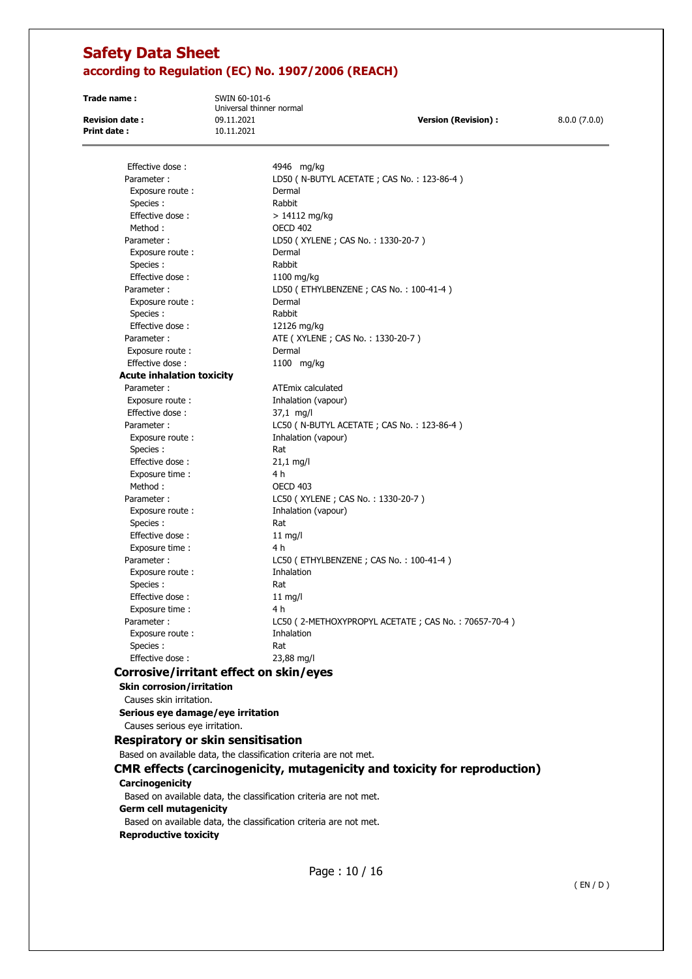**Trade name :** SWIN 60-101-6

Universal thinner normal **Print date :** 10.11.2021

**Revision date :** 09.11.2021 **Version (Revision) :** 8.0.0 (7.0.0)

Page : 10 / 16 Effective dose : 4946 mg/kg Parameter : LD50 ( N-BUTYL ACETATE ; CAS No. : 123-86-4 ) Exposure route : Dermal Species : Rabbit  $Effective dose :$  > 14112 mg/kg Method : 0ECD 402 Parameter : LD50 (XYLENE ; CAS No. : 1330-20-7 ) Exposure route : Dermal Species : Rabbit Effective dose : 1100 mg/kg Parameter : LD50 (ETHYLBENZENE ; CAS No. : 100-41-4) Exposure route : Dermal Species : Rabbit Effective dose : 12126 mg/kg Parameter : <br>ATE ( XYLENE ; CAS No. : 1330-20-7 ) Exposure route : Dermal Effective dose : 1100 mg/kg **Acute inhalation toxicity**  Parameter : ATEmix calculated Exposure route : Inhalation (vapour) Effective dose : 37,1 mg/l Parameter : LC50 ( N-BUTYL ACETATE ; CAS No. : 123-86-4 ) Exposure route : Inhalation (vapour) Species : Rat Effective dose : 21,1 mg/l Exposure time : 4 h Method : OECD 403 Parameter : LC50 (XYLENE ; CAS No. : 1330-20-7 ) Exposure route : Inhalation (vapour) Species : Rat Effective dose : 11 mg/l Exposure time : 4 h Parameter : LC50 (ETHYLBENZENE ; CAS No. : 100-41-4) Exposure route : Thalation Species : Rat Effective dose : 11 mg/l Exposure time : 4 h Parameter : LC50 ( 2-METHOXYPROPYL ACETATE ; CAS No. : 70657-70-4 ) Exposure route : The Inhalation Species : Rat Effective dose : 23,88 mg/l **Corrosive/irritant effect on skin/eyes Skin corrosion/irritation**  Causes skin irritation. **Serious eye damage/eye irritation**  Causes serious eye irritation. **Respiratory or skin sensitisation**  Based on available data, the classification criteria are not met. **CMR effects (carcinogenicity, mutagenicity and toxicity for reproduction) Carcinogenicity**  Based on available data, the classification criteria are not met. **Germ cell mutagenicity**  Based on available data, the classification criteria are not met. **Reproductive toxicity**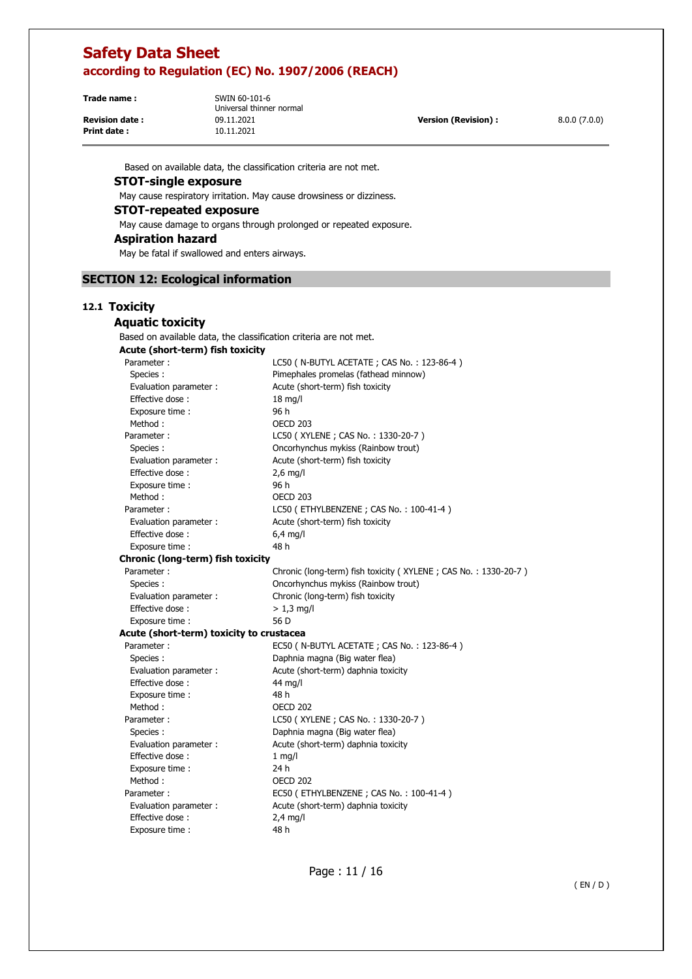**Print date :** 10.11.2021

**Trade name :** SWIN 60-101-6 Universal thinner normal **Revision date :** 09.11.2021 **Version (Revision) :** 8.0.0 (7.0.0)

Based on available data, the classification criteria are not met.

### **STOT-single exposure**

May cause respiratory irritation. May cause drowsiness or dizziness.

### **STOT-repeated exposure**

May cause damage to organs through prolonged or repeated exposure.

### **Aspiration hazard**

May be fatal if swallowed and enters airways.

### **SECTION 12: Ecological information**

### **12.1 Toxicity**

| <b>Aquatic toxicity</b>                                           |                                                                |
|-------------------------------------------------------------------|----------------------------------------------------------------|
| Based on available data, the classification criteria are not met. |                                                                |
| Acute (short-term) fish toxicity                                  |                                                                |
| Parameter:                                                        | LC50 ( N-BUTYL ACETATE ; CAS No.: 123-86-4 )                   |
| Species:                                                          | Pimephales promelas (fathead minnow)                           |
| Evaluation parameter :                                            | Acute (short-term) fish toxicity                               |
| Effective dose:                                                   | $18$ mg/l                                                      |
| Exposure time :                                                   | 96 h                                                           |
| Method:                                                           | <b>OECD 203</b>                                                |
| Parameter:                                                        | LC50 (XYLENE; CAS No.: 1330-20-7)                              |
| Species:                                                          | Oncorhynchus mykiss (Rainbow trout)                            |
| Evaluation parameter :                                            | Acute (short-term) fish toxicity                               |
| Effective dose:                                                   | $2,6$ mg/l                                                     |
| Exposure time:                                                    | 96 h                                                           |
| Method:                                                           | OECD 203                                                       |
| Parameter:                                                        | LC50 (ETHYLBENZENE; CAS No.: 100-41-4)                         |
| Evaluation parameter :                                            | Acute (short-term) fish toxicity                               |
| Effective dose:                                                   | 6,4 mg/l                                                       |
| Exposure time:                                                    | 48 h                                                           |
| Chronic (long-term) fish toxicity                                 |                                                                |
| Parameter:                                                        | Chronic (long-term) fish toxicity (XYLENE; CAS No.: 1330-20-7) |
| Species:                                                          | Oncorhynchus mykiss (Rainbow trout)                            |
| Evaluation parameter :                                            | Chronic (long-term) fish toxicity                              |
| Effective dose:                                                   | $> 1.3$ mg/l                                                   |
| Exposure time :                                                   | 56 D                                                           |
| Acute (short-term) toxicity to crustacea                          |                                                                |
| Parameter:                                                        | EC50 ( N-BUTYL ACETATE ; CAS No. : 123-86-4 )                  |
| Species :                                                         | Daphnia magna (Big water flea)                                 |
| Evaluation parameter :                                            | Acute (short-term) daphnia toxicity                            |
| Effective dose:                                                   | 44 mg/l                                                        |
| Exposure time :                                                   | 48 h                                                           |
| Method:                                                           | <b>OECD 202</b>                                                |
| Parameter:                                                        | LC50 (XYLENE; CAS No.: 1330-20-7)                              |
| Species:                                                          | Daphnia magna (Big water flea)                                 |
| Evaluation parameter :                                            | Acute (short-term) daphnia toxicity                            |
| Effective dose:                                                   | $1$ mg/l                                                       |
| Exposure time:                                                    | 24 h                                                           |
| Method:                                                           | OECD 202                                                       |
| Parameter:                                                        | EC50 (ETHYLBENZENE; CAS No.: 100-41-4)                         |
| Evaluation parameter :                                            | Acute (short-term) daphnia toxicity                            |
| Effective dose:                                                   | $2,4$ mg/l                                                     |
| Exposure time :                                                   | 48 h                                                           |
|                                                                   |                                                                |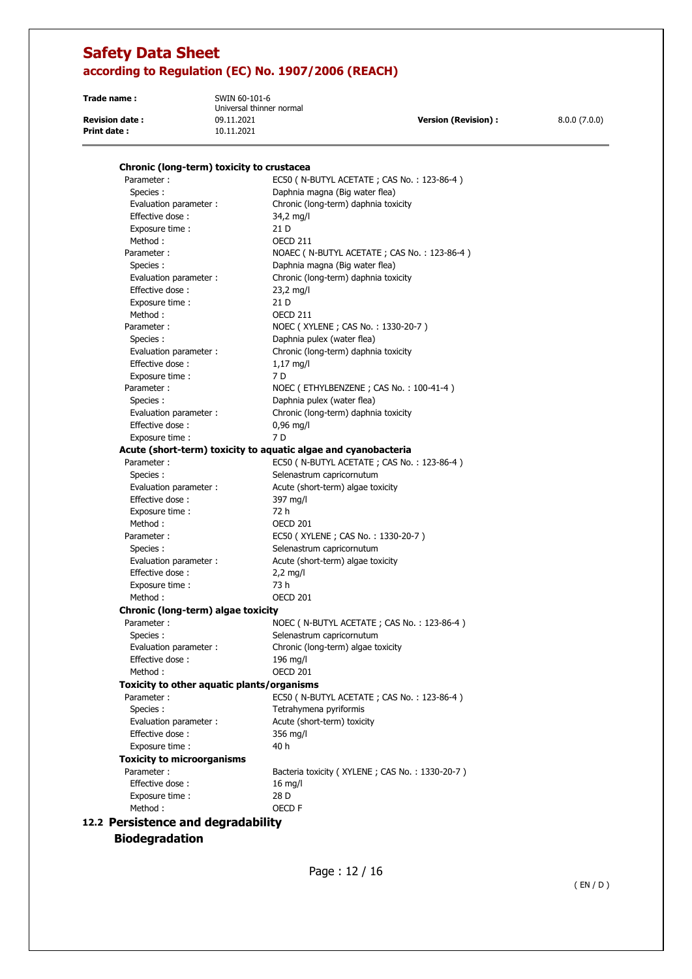**Trade name :** SWIN 60-101-6

**Print date :** 10.11.2021

Universal thinner normal **Revision date :** 09.11.2021 **Version (Revision) :** 8.0.0 (7.0.0)

# Parameter : EC50 ( N-BUTYL ACETATE ; CAS No. : 123-86-4 ) Species : Daphnia magna (Big water flea)

**Chronic (long-term) toxicity to crustacea** 

| Evaluation parameter :                                         | Chronic (long-term) daphnia toxicity           |
|----------------------------------------------------------------|------------------------------------------------|
| Effective dose:                                                | 34,2 mg/l                                      |
| Exposure time:                                                 | 21 D                                           |
| Method:                                                        | <b>OECD 211</b>                                |
| Parameter:                                                     | NOAEC ( N-BUTYL ACETATE ; CAS No.: 123-86-4 )  |
| Species:                                                       | Daphnia magna (Big water flea)                 |
| Evaluation parameter :                                         | Chronic (long-term) daphnia toxicity           |
| Effective dose:                                                | $23,2$ mg/l                                    |
| Exposure time :                                                | 21 D                                           |
| Method:                                                        | OECD 211                                       |
| Parameter:                                                     | NOEC (XYLENE; CAS No.: 1330-20-7)              |
| Species :                                                      | Daphnia pulex (water flea)                     |
| Evaluation parameter :                                         | Chronic (long-term) daphnia toxicity           |
| Effective dose:                                                | 1,17 mg/l                                      |
| Exposure time :                                                | 7 D                                            |
| Parameter:                                                     | NOEC (ETHYLBENZENE; CAS No.: 100-41-4)         |
| Species:                                                       | Daphnia pulex (water flea)                     |
| Evaluation parameter :                                         | Chronic (long-term) daphnia toxicity           |
| Effective dose:                                                | $0,96$ mg/l                                    |
| Exposure time :                                                | 7 <sub>D</sub>                                 |
| Acute (short-term) toxicity to aquatic algae and cyanobacteria |                                                |
| Parameter:                                                     | EC50 ( N-BUTYL ACETATE ; CAS No.: 123-86-4 )   |
| Species:                                                       | Selenastrum capricornutum                      |
| Evaluation parameter :                                         | Acute (short-term) algae toxicity              |
| Effective dose:                                                | 397 mg/l                                       |
| Exposure time :                                                | 72 h                                           |
| Method:                                                        | OECD <sub>201</sub>                            |
| Parameter:                                                     | EC50 (XYLENE ; CAS No. : 1330-20-7)            |
| Species:                                                       | Selenastrum capricornutum                      |
| Evaluation parameter :                                         | Acute (short-term) algae toxicity              |
| Effective dose:                                                | $2,2$ mg/l                                     |
| Exposure time :                                                | 73 h                                           |
| Method:                                                        | OECD 201                                       |
| Chronic (long-term) algae toxicity                             |                                                |
| Parameter:                                                     | NOEC ( N-BUTYL ACETATE ; CAS No. : 123-86-4 )  |
| Species:                                                       | Selenastrum capricornutum                      |
| Evaluation parameter :                                         | Chronic (long-term) algae toxicity             |
| Effective dose:                                                | $196$ mg/l                                     |
| Method:                                                        | <b>OECD 201</b>                                |
| Toxicity to other aquatic plants/organisms                     |                                                |
| Parameter:                                                     | EC50 ( N-BUTYL ACETATE ; CAS No. : 123-86-4 )  |
| Species:                                                       | Tetrahymena pyriformis                         |
| Evaluation parameter :                                         | Acute (short-term) toxicity                    |
| Effective dose:                                                | 356 mg/l                                       |
| Exposure time:                                                 | 40 h                                           |
| <b>Toxicity to microorganisms</b>                              |                                                |
| Parameter:                                                     | Bacteria toxicity (XYLENE; CAS No.: 1330-20-7) |
| Effective dose:                                                | $16$ mg/l                                      |
| Exposure time :                                                | 28 D                                           |
| Method:                                                        | OECD F                                         |
| 12.2 Persistence and degradability                             |                                                |

**Biodegradation**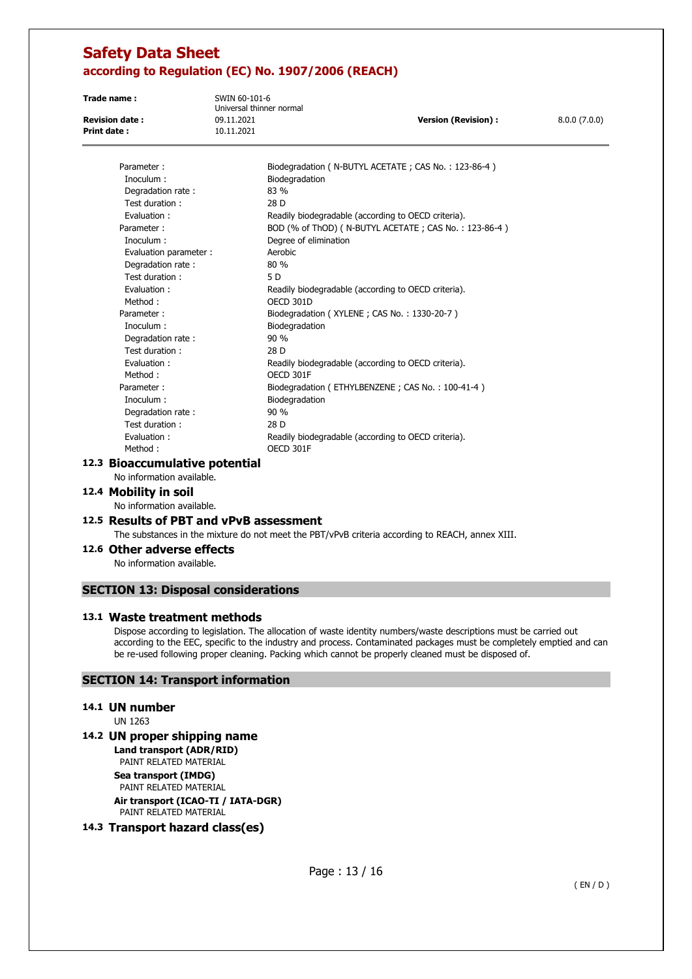**Trade name :** SWIN 60-101-6 Universal thinner normal **Revision date :** 09.11.2021 **Version (Revision) :** 8.0.0 (7.0.0) **Print date :**  $10.11.2021$ 

| Parameter:             | Biodegradation ( N-BUTYL ACETATE ; CAS No.: 123-86-4 ) |
|------------------------|--------------------------------------------------------|
| Inoculum:              | Biodegradation                                         |
| Degradation rate:      | 83 %                                                   |
| Test duration:         | 28 D                                                   |
| Evaluation:            | Readily biodegradable (according to OECD criteria).    |
| Parameter:             | BOD (% of ThOD) (N-BUTYL ACETATE; CAS No.: 123-86-4)   |
| Inoculum :             | Degree of elimination                                  |
| Evaluation parameter : | Aerobic                                                |
| Degradation rate:      | 80%                                                    |
| Test duration:         | 5 D                                                    |
| Evaluation:            | Readily biodegradable (according to OECD criteria).    |
| Method:                | OECD 301D                                              |
| Parameter:             | Biodegradation (XYLENE; CAS No.: 1330-20-7)            |
| Inoculum :             | Biodegradation                                         |
| Degradation rate:      | 90%                                                    |
| Test duration:         | 28 D                                                   |
| Evaluation:            | Readily biodegradable (according to OECD criteria).    |
| Method:                | OECD 301F                                              |
| Parameter:             | Biodegradation (ETHYLBENZENE; CAS No.: 100-41-4)       |
| Inoculum:              | Biodegradation                                         |
| Degradation rate:      | 90%                                                    |
| Test duration:         | 28 D                                                   |
| Evaluation:            | Readily biodegradable (according to OECD criteria).    |
| Method:                | OECD 301F                                              |
|                        |                                                        |

### **12.3 Bioaccumulative potential**

No information available.

### **12.4 Mobility in soil**

No information available.

### **12.5 Results of PBT and vPvB assessment**

The substances in the mixture do not meet the PBT/vPvB criteria according to REACH, annex XIII.

### **12.6 Other adverse effects**

No information available.

### **SECTION 13: Disposal considerations**

#### **13.1 Waste treatment methods**

Dispose according to legislation. The allocation of waste identity numbers/waste descriptions must be carried out according to the EEC, specific to the industry and process. Contaminated packages must be completely emptied and can be re-used following proper cleaning. Packing which cannot be properly cleaned must be disposed of.

### **SECTION 14: Transport information**

### **14.1 UN number**

UN 1263

### **14.2 UN proper shipping name**

**Land transport (ADR/RID)**  PAINT RELATED MATERIAL **Sea transport (IMDG)**  PAINT RELATED MATERIAL **Air transport (ICAO-TI / IATA-DGR)**  PAINT RELATED MATERIAL

### **14.3 Transport hazard class(es)**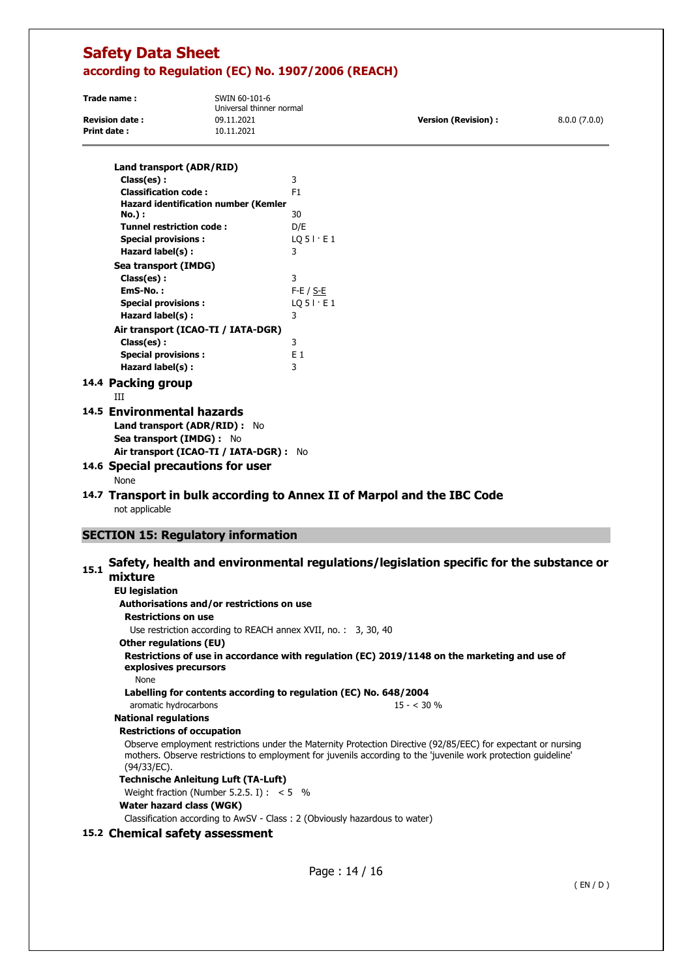| Trade name:           | SWIN 60-101-6<br>Universal thinner normal |                      |              |
|-----------------------|-------------------------------------------|----------------------|--------------|
| <b>Revision date:</b> | 09.11.2021                                | Version (Revision) : | 8.0.0(7.0.0) |
| Print date :          | 10.11.2021                                |                      |              |

| Land transport (ADR/RID)                                    |                                                                         |
|-------------------------------------------------------------|-------------------------------------------------------------------------|
| Class(es):                                                  | 3                                                                       |
| <b>Classification code:</b>                                 | F <sub>1</sub>                                                          |
| <b>Hazard identification number (Kemler</b><br>No.) :       | 30                                                                      |
| <b>Tunnel restriction code:</b>                             | D/E                                                                     |
| <b>Special provisions:</b>                                  | $LO$ 5 $\cdot$ E 1                                                      |
| Hazard label(s):                                            | 3                                                                       |
| Sea transport (IMDG)                                        |                                                                         |
| Class(es):                                                  | 3                                                                       |
| EmS-No.:                                                    | $F-E / S-E$                                                             |
| <b>Special provisions:</b>                                  | $LO$ 5 $\cdot$ E 1                                                      |
| Hazard label(s):                                            | 3                                                                       |
| Air transport (ICAO-TI / IATA-DGR)                          |                                                                         |
| Class(es):                                                  | 3                                                                       |
| <b>Special provisions:</b>                                  | F <sub>1</sub>                                                          |
| Hazard label(s):                                            | 3                                                                       |
| 14.4 Packing group                                          |                                                                         |
| ΠT                                                          |                                                                         |
| 14.5 Environmental hazards<br>Land transport (ADR/RID) : No |                                                                         |
| Sea transport (IMDG) : No                                   |                                                                         |
| Air transport (ICAO-TI / IATA-DGR) : No                     |                                                                         |
| 14.6 Special precautions for user<br>None                   |                                                                         |
|                                                             | 14.7 Transport in bulk according to Annex II of Marpol and the IBC Code |

not applicable

### **SECTION 15: Regulatory information**

# **15.1 Safety, health and environmental regulations/legislation specific for the substance or mixture**

### **EU legislation Authorisations and/or restrictions on use Restrictions on use**  Use restriction according to REACH annex XVII, no. : 3, 30, 40 **Other regulations (EU) Restrictions of use in accordance with regulation (ЕС) 2019/1148 on the marketing and use of explosives precursors**  None **Labelling for contents according to regulation (EC) No. 648/2004**  aromatic hydrocarbons 15 - < 30 % **National regulations Restrictions of occupation**  Observe employment restrictions under the Maternity Protection Directive (92/85/EEC) for expectant or nursing mothers. Observe restrictions to employment for juvenils according to the 'juvenile work protection guideline' (94/33/EC). **Technische Anleitung Luft (TA-Luft)**  Weight fraction (Number 5.2.5. I) :  $< 5$  % **Water hazard class (WGK)**  Classification according to AwSV - Class : 2 (Obviously hazardous to water)

### **15.2 Chemical safety assessment**

Page : 14 / 16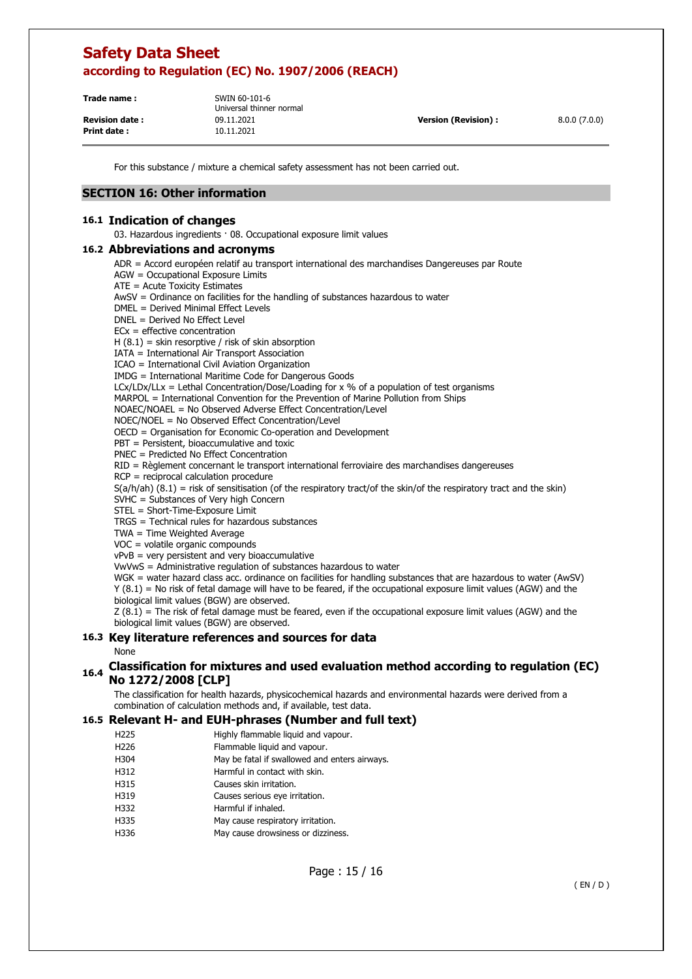| Trade name:           | SWIN 60-101-6<br>Universal thinner normal |                            |              |
|-----------------------|-------------------------------------------|----------------------------|--------------|
| <b>Revision date:</b> | 09.11.2021                                | <b>Version (Revision):</b> | 8.0.0(7.0.0) |
| Print date:           | 10.11.2021                                |                            |              |

For this substance / mixture a chemical safety assessment has not been carried out.

### **SECTION 16: Other information**

#### **16.1 Indication of changes**

03. Hazardous ingredients · 08. Occupational exposure limit values

#### **16.2 Abbreviations and acronyms**

- ADR = Accord européen relatif au transport international des marchandises Dangereuses par Route
- AGW = Occupational Exposure Limits
- ATE = Acute Toxicity Estimates
- AwSV = Ordinance on facilities for the handling of substances hazardous to water
- DMEL = Derived Minimal Effect Levels
- DNEL = Derived No Effect Level
- ECx = effective concentration
- $H(8.1)$  = skin resorptive / risk of skin absorption
- IATA = International Air Transport Association
- ICAO = International Civil Aviation Organization
- IMDG = International Maritime Code for Dangerous Goods
- $LCx/LDx/LLx = Lethal Concentration/Dose/Loading for x % of a population of test organisms$
- MARPOL = International Convention for the Prevention of Marine Pollution from Ships
- NOAEC/NOAEL = No Observed Adverse Effect Concentration/Level
- NOEC/NOEL = No Observed Effect Concentration/Level
- OECD = Organisation for Economic Co-operation and Development
- PBT = Persistent, bioaccumulative and toxic
- PNEC = Predicted No Effect Concentration
- RID = Règlement concernant le transport international ferroviaire des marchandises dangereuses
- RCP = reciprocal calculation procedure
- $S(a/h/ah)$  (8.1) = risk of sensitisation (of the respiratory tract/of the skin/of the respiratory tract and the skin)
- SVHC = Substances of Very high Concern
- STEL = Short-Time-Exposure Limit
- TRGS = Technical rules for hazardous substances
- TWA = Time Weighted Average
- VOC = volatile organic compounds
- $vPvB$  = very persistent and very bioaccumulative
- VwVwS = Administrative regulation of substances hazardous to water

WGK = water hazard class acc. ordinance on facilities for handling substances that are hazardous to water (AwSV) Y (8.1) = No risk of fetal damage will have to be feared, if the occupational exposure limit values (AGW) and the biological limit values (BGW) are observed.

Z (8.1) = The risk of fetal damage must be feared, even if the occupational exposure limit values (AGW) and the biological limit values (BGW) are observed.

### **16.3 Key literature references and sources for data**

#### **None**

### **16.4 Classification for mixtures and used evaluation method according to regulation (EC) No 1272/2008 [CLP]**

The classification for health hazards, physicochemical hazards and environmental hazards were derived from a combination of calculation methods and, if available, test data.

#### **16.5 Relevant H- and EUH-phrases (Number and full text)**

- H225 Highly flammable liquid and vapour.
- H226 Flammable liquid and vapour.
- H304 May be fatal if swallowed and enters airways.
- H312 Harmful in contact with skin.
- H315 Causes skin irritation.
- H319 Causes serious eye irritation.
- H332 Harmful if inhaled.
- H335 May cause respiratory irritation.
- H336 May cause drowsiness or dizziness.